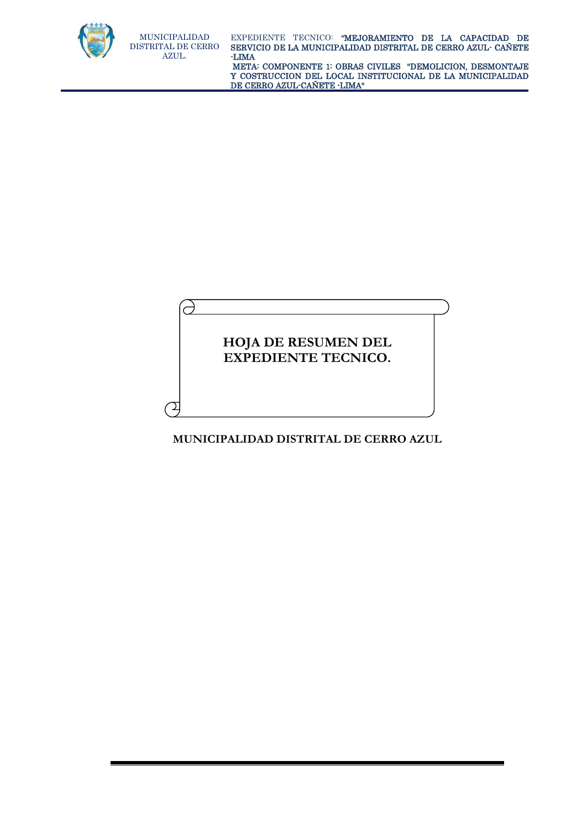

 META: COMPONENTE 1: OBRAS CIVILES "DEMOLICION, DESMONTAJE Y COSTRUCCION DEL LOCAL INSTITUCIONAL DE LA MUNICIPALIDAD DE CERRO AZUL-CAÑETE -LIMA"

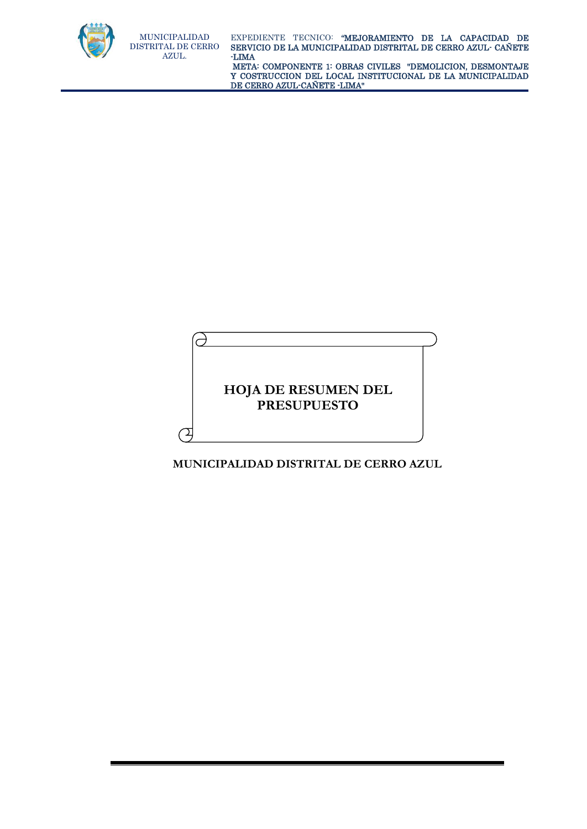

é

⊇

EXPEDIENTE TECNICO: "MEJORAMIENTO DE LA CAPACIDAD DE SERVICIO DE LA MUNICIPALIDAD DISTRITAL DE CERRO AZUL- CAÑETE -LIMA

 META: COMPONENTE 1: OBRAS CIVILES "DEMOLICION, DESMONTAJE Y COSTRUCCION DEL LOCAL INSTITUCIONAL DE LA MUNICIPALIDAD DE CERRO AZUL-CAÑETE -LIMA"

**HOJA DE RESUMEN DEL PRESUPUESTO**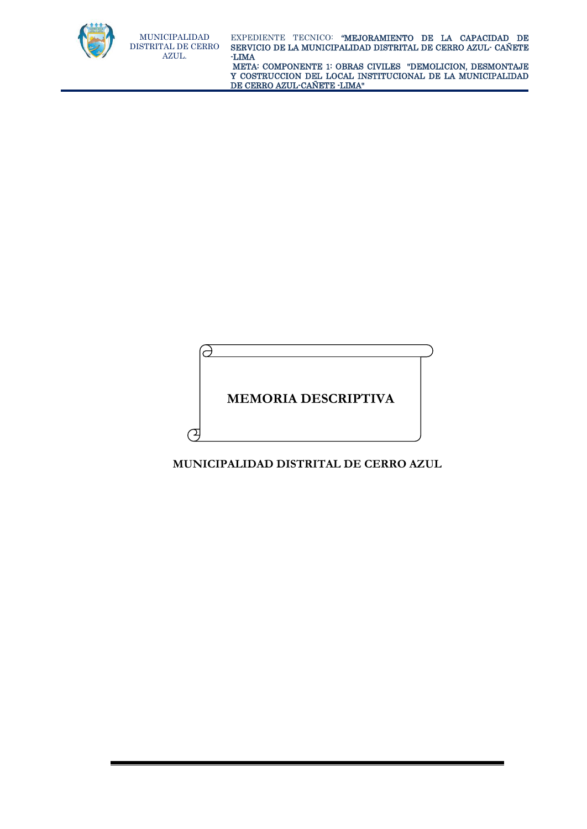

 META: COMPONENTE 1: OBRAS CIVILES "DEMOLICION, DESMONTAJE Y COSTRUCCION DEL LOCAL INSTITUCIONAL DE LA MUNICIPALIDAD DE CERRO AZUL-CAÑETE -LIMA"

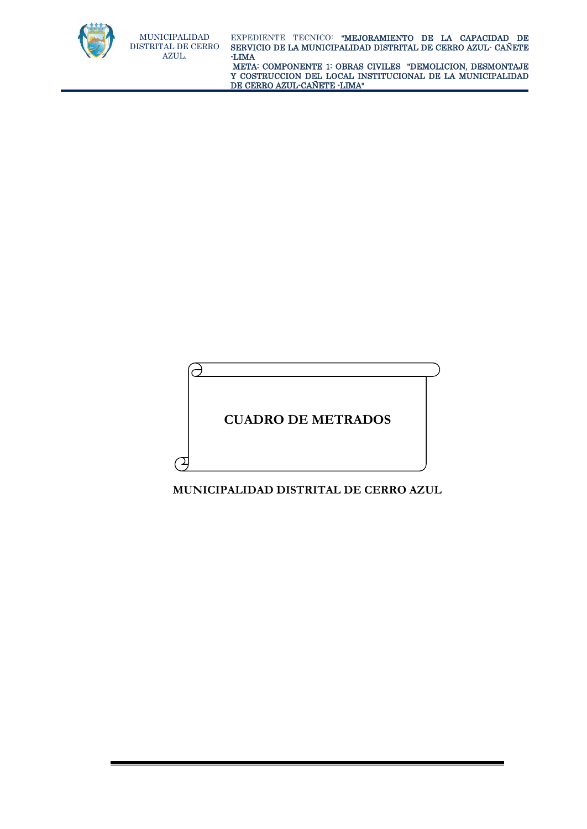

 META: COMPONENTE 1: OBRAS CIVILES "DEMOLICION, DESMONTAJE Y COSTRUCCION DEL LOCAL INSTITUCIONAL DE LA MUNICIPALIDAD DE CERRO AZUL-CAÑETE -LIMA"

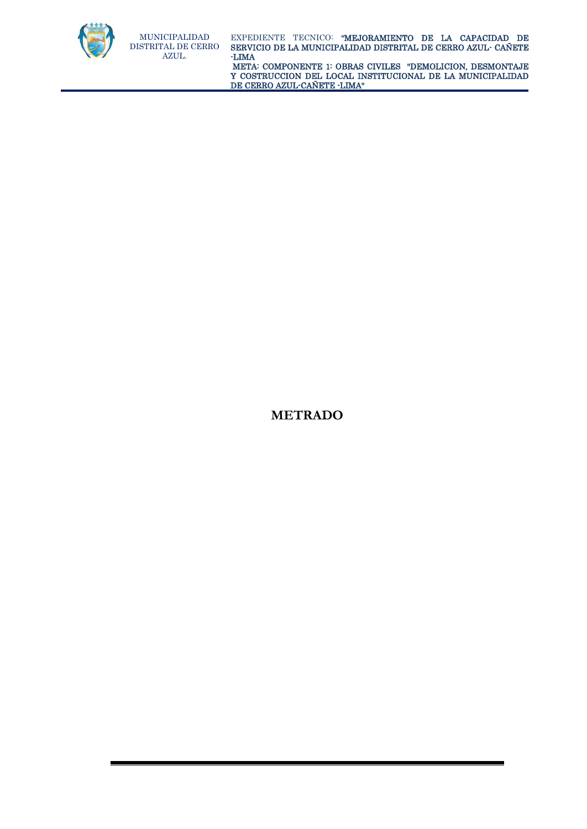

 META: COMPONENTE 1: OBRAS CIVILES "DEMOLICION, DESMONTAJE Y COSTRUCCION DEL LOCAL INSTITUCIONAL DE LA MUNICIPALIDAD DE CERRO AZUL-CAÑETE -LIMA"

**METRADO**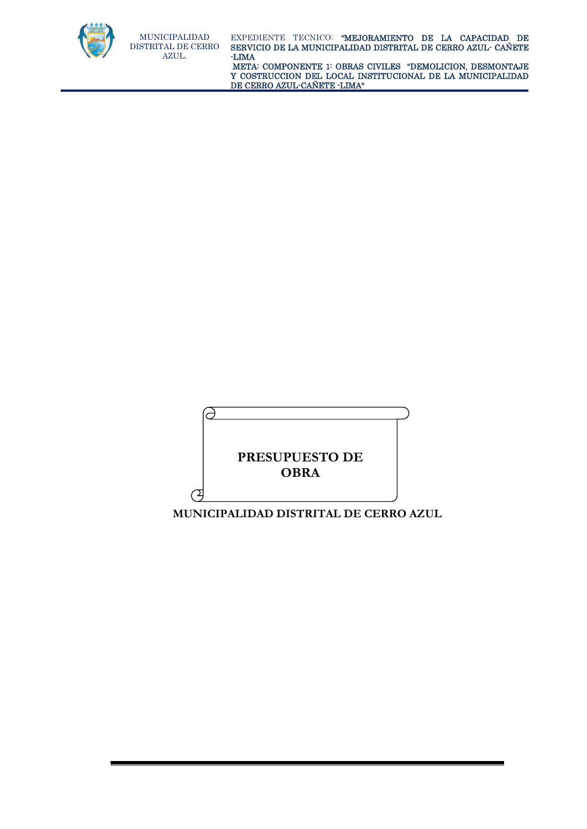

 META: COMPONENTE 1: OBRAS CIVILES "DEMOLICION, DESMONTAJE Y COSTRUCCION DEL LOCAL INSTITUCIONAL DE LA MUNICIPALIDAD DE CERRO AZUL-CAÑETE -LIMA"

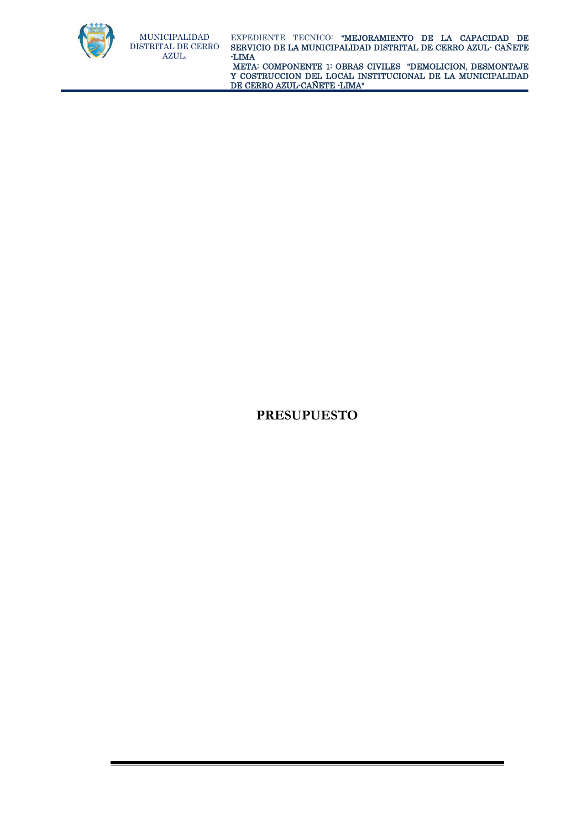

 META: COMPONENTE 1: OBRAS CIVILES "DEMOLICION, DESMONTAJE Y COSTRUCCION DEL LOCAL INSTITUCIONAL DE LA MUNICIPALIDAD DE CERRO AZUL-CAÑETE -LIMA"

## **PRESUPUESTO**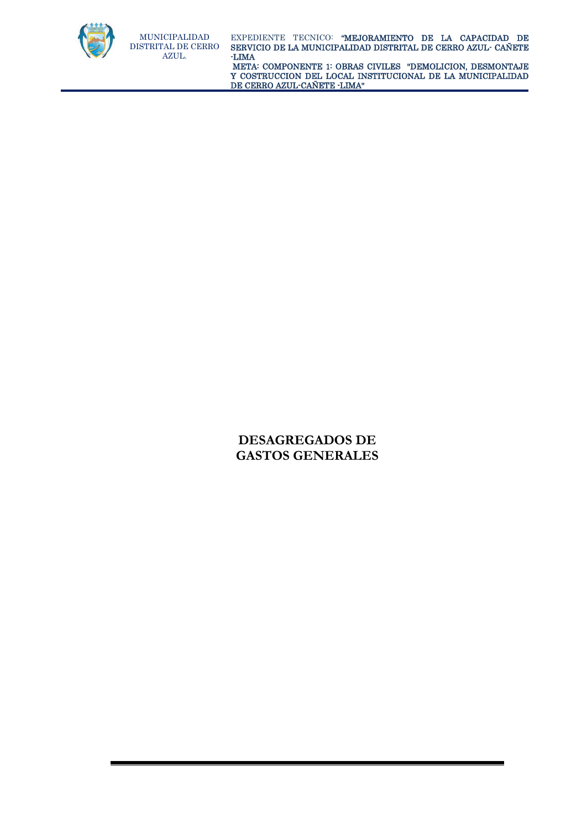

 META: COMPONENTE 1: OBRAS CIVILES "DEMOLICION, DESMONTAJE Y COSTRUCCION DEL LOCAL INSTITUCIONAL DE LA MUNICIPALIDAD DE CERRO AZUL-CAÑETE -LIMA"

## **DESAGREGADOS DE GASTOS GENERALES**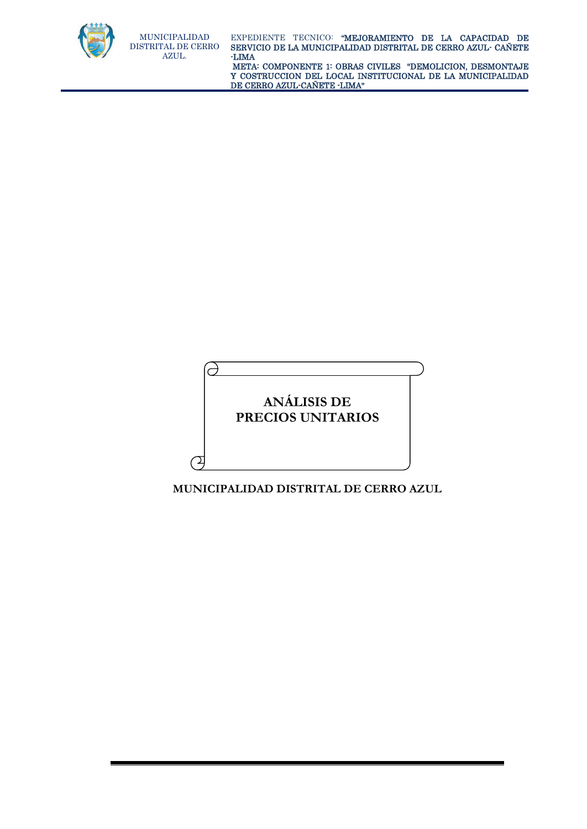

 META: COMPONENTE 1: OBRAS CIVILES "DEMOLICION, DESMONTAJE Y COSTRUCCION DEL LOCAL INSTITUCIONAL DE LA MUNICIPALIDAD DE CERRO AZUL-CAÑETE -LIMA"

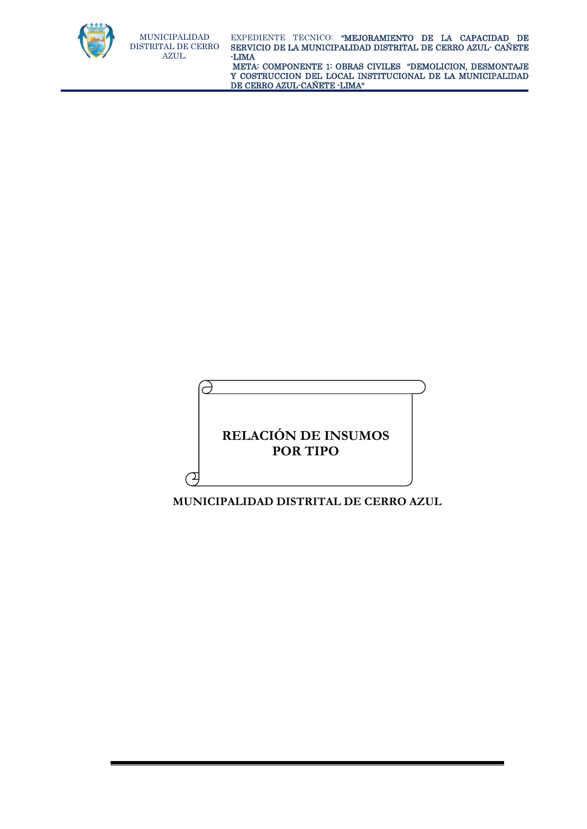

 META: COMPONENTE 1: OBRAS CIVILES "DEMOLICION, DESMONTAJE Y COSTRUCCION DEL LOCAL INSTITUCIONAL DE LA MUNICIPALIDAD DE CERRO AZUL-CAÑETE -LIMA"

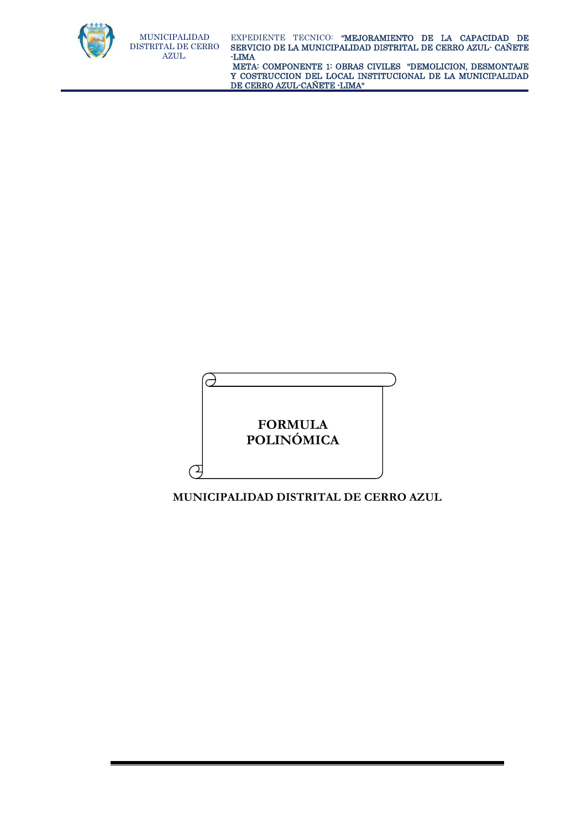

 META: COMPONENTE 1: OBRAS CIVILES "DEMOLICION, DESMONTAJE Y COSTRUCCION DEL LOCAL INSTITUCIONAL DE LA MUNICIPALIDAD DE CERRO AZUL-CAÑETE -LIMA"

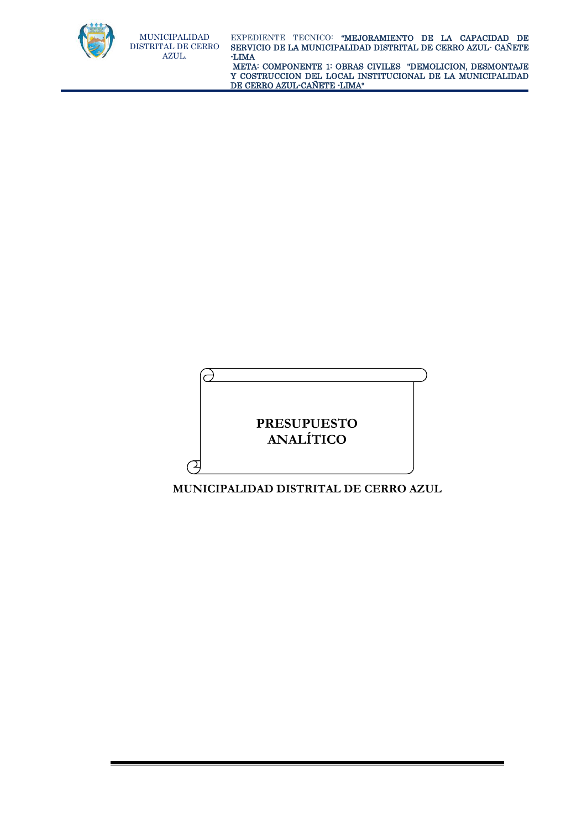

 META: COMPONENTE 1: OBRAS CIVILES "DEMOLICION, DESMONTAJE Y COSTRUCCION DEL LOCAL INSTITUCIONAL DE LA MUNICIPALIDAD DE CERRO AZUL-CAÑETE -LIMA"

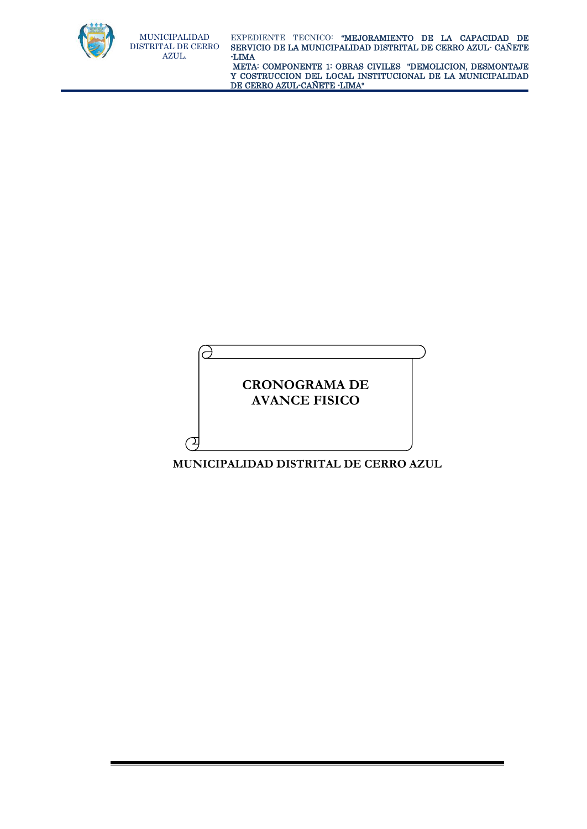

Э

⊇

DISTRITAL DE CERRO SERVICIO DE LA MUNICIPALIDAD DISTRITAL DE CERRO AZUL- CAÑETE EXPEDIENTE TECNICO: "MEJORAMIENTO DE LA CAPACIDAD DE -LIMA

 META: COMPONENTE 1: OBRAS CIVILES "DEMOLICION, DESMONTAJE Y COSTRUCCION DEL LOCAL INSTITUCIONAL DE LA MUNICIPALIDAD DE CERRO AZUL-CAÑETE -LIMA"

# **CRONOGRAMA DE AVANCE FISICO**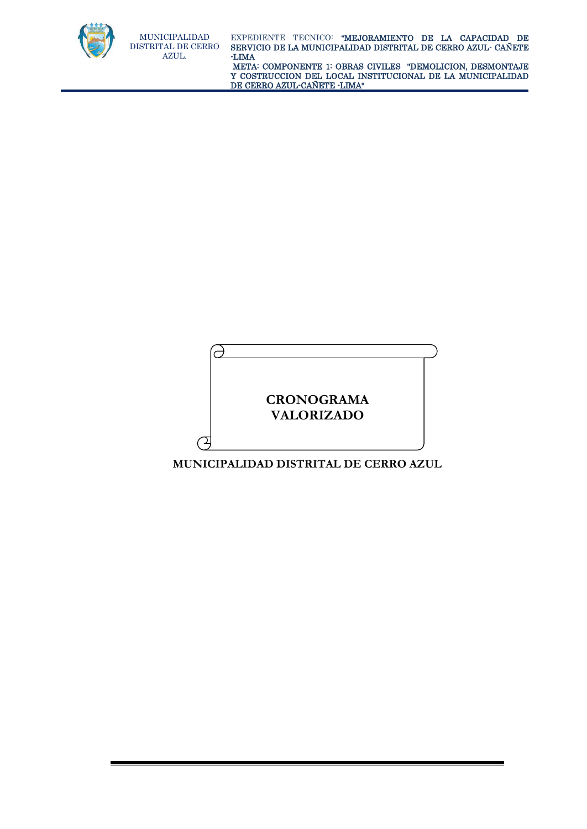

 META: COMPONENTE 1: OBRAS CIVILES "DEMOLICION, DESMONTAJE Y COSTRUCCION DEL LOCAL INSTITUCIONAL DE LA MUNICIPALIDAD DE CERRO AZUL-CAÑETE -LIMA"

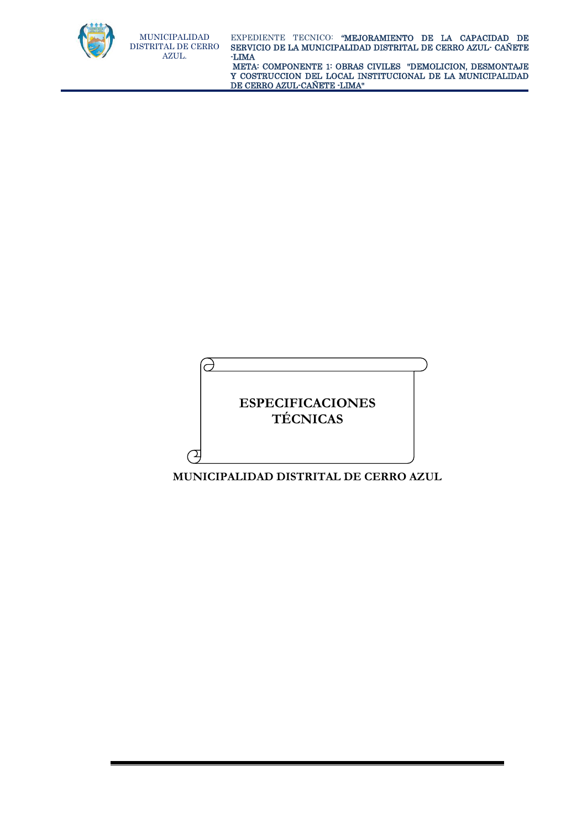

 META: COMPONENTE 1: OBRAS CIVILES "DEMOLICION, DESMONTAJE Y COSTRUCCION DEL LOCAL INSTITUCIONAL DE LA MUNICIPALIDAD DE CERRO AZUL-CAÑETE -LIMA"

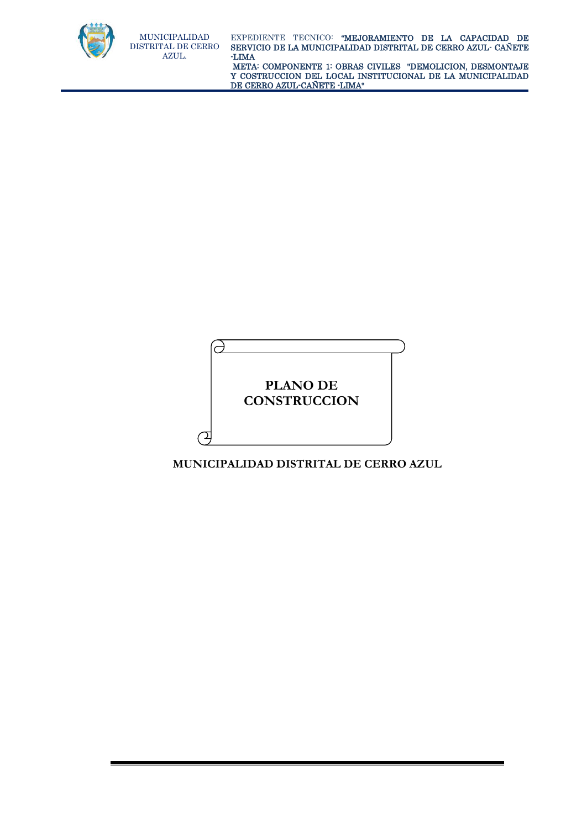

 META: COMPONENTE 1: OBRAS CIVILES "DEMOLICION, DESMONTAJE Y COSTRUCCION DEL LOCAL INSTITUCIONAL DE LA MUNICIPALIDAD DE CERRO AZUL-CAÑETE -LIMA"

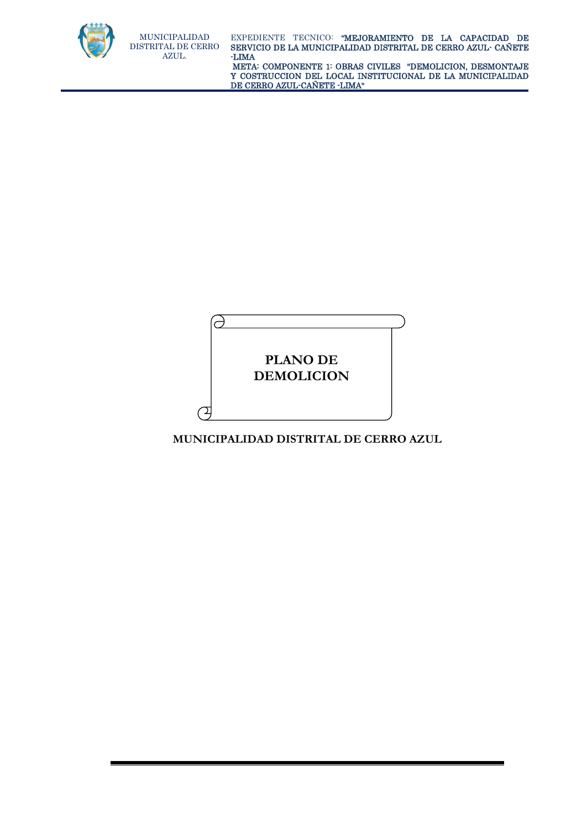

 META: COMPONENTE 1: OBRAS CIVILES "DEMOLICION, DESMONTAJE Y COSTRUCCION DEL LOCAL INSTITUCIONAL DE LA MUNICIPALIDAD DE CERRO AZUL-CAÑETE -LIMA"

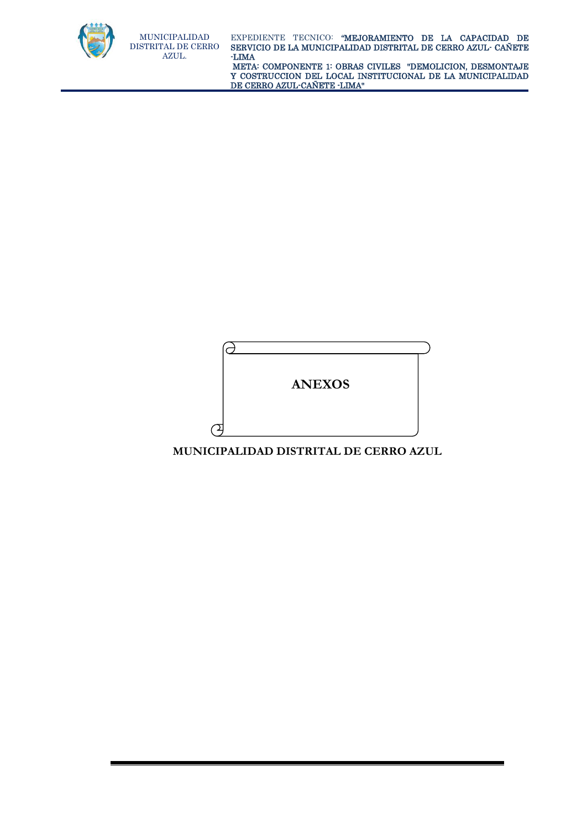

DE CERRO AZUL-CAÑETE -LIMA"

Q **ANEXOS**  $\sigma$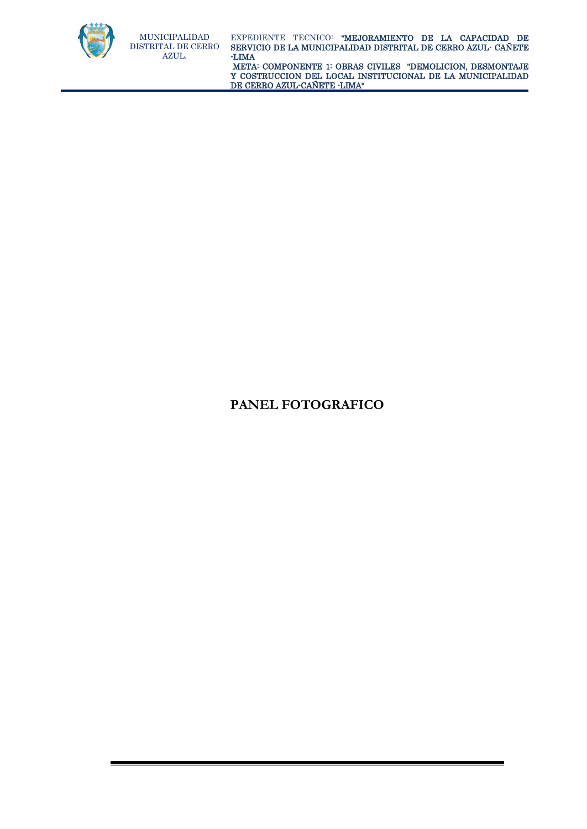

 META: COMPONENTE 1: OBRAS CIVILES "DEMOLICION, DESMONTAJE Y COSTRUCCION DEL LOCAL INSTITUCIONAL DE LA MUNICIPALIDAD DE CERRO AZUL-CAÑETE -LIMA"

# **PANEL FOTOGRAFICO**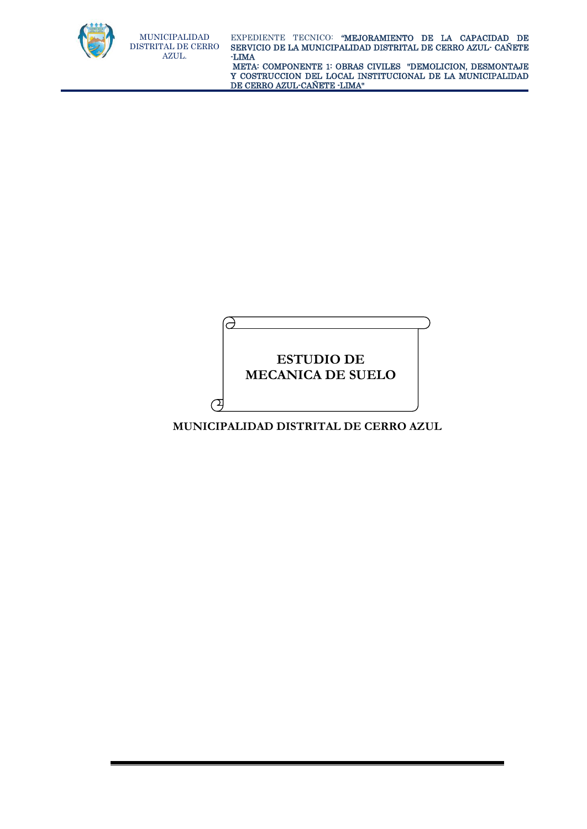

 META: COMPONENTE 1: OBRAS CIVILES "DEMOLICION, DESMONTAJE Y COSTRUCCION DEL LOCAL INSTITUCIONAL DE LA MUNICIPALIDAD DE CERRO AZUL-CAÑETE -LIMA"

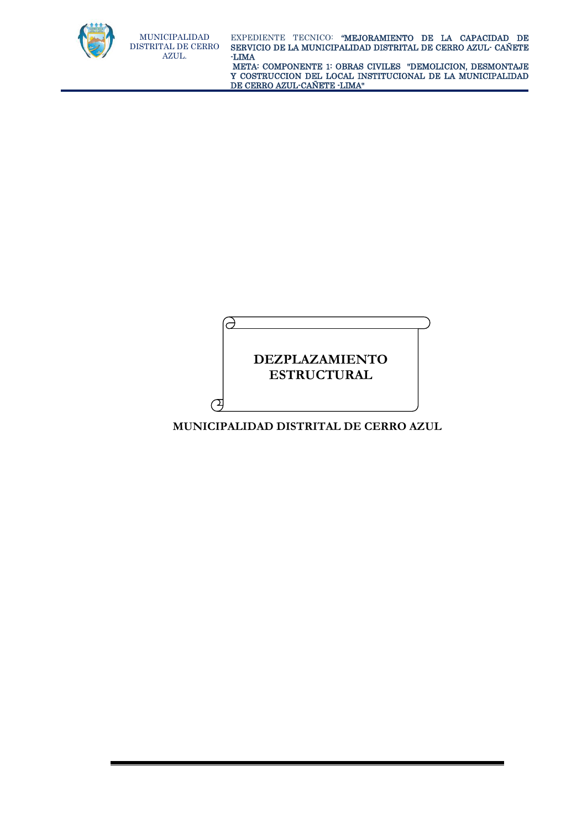

 META: COMPONENTE 1: OBRAS CIVILES "DEMOLICION, DESMONTAJE Y COSTRUCCION DEL LOCAL INSTITUCIONAL DE LA MUNICIPALIDAD DE CERRO AZUL-CAÑETE -LIMA"

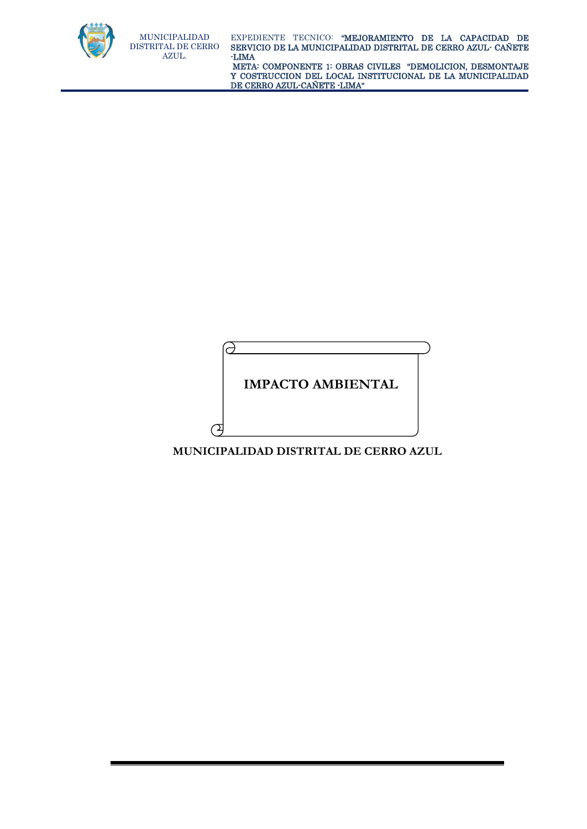

 META: COMPONENTE 1: OBRAS CIVILES "DEMOLICION, DESMONTAJE Y COSTRUCCION DEL LOCAL INSTITUCIONAL DE LA MUNICIPALIDAD DE CERRO AZUL-CAÑETE -LIMA"

**IMPACTO AMBIENTAL** 

**MUNICIPALIDAD DISTRITAL DE CERRO AZUL**

d

 $\sigma$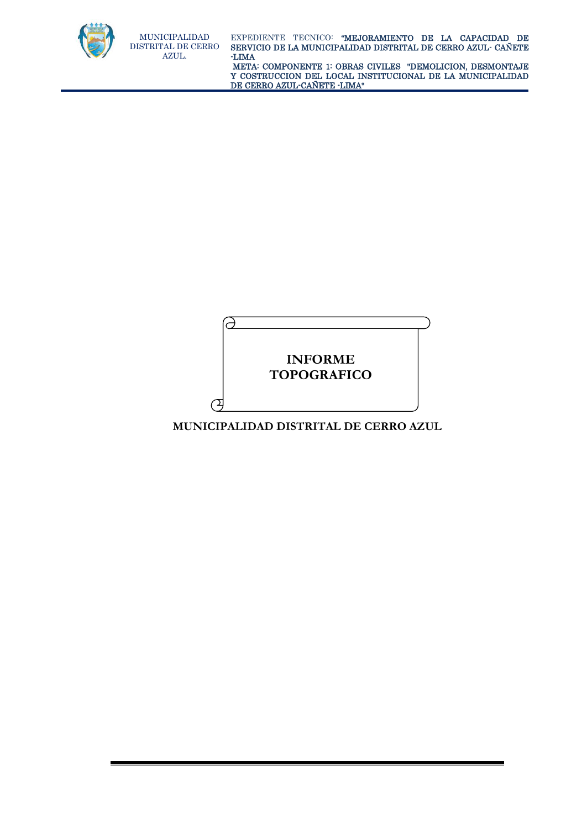

MUNICIPALIDAD

AZUL.

 META: COMPONENTE 1: OBRAS CIVILES "DEMOLICION, DESMONTAJE Y COSTRUCCION DEL LOCAL INSTITUCIONAL DE LA MUNICIPALIDAD DE CERRO AZUL-CAÑETE -LIMA"

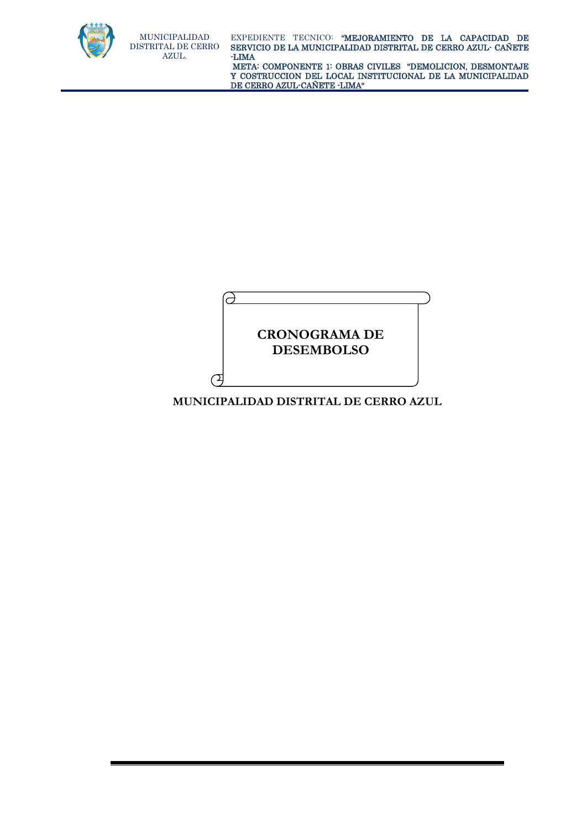

 META: COMPONENTE 1: OBRAS CIVILES "DEMOLICION, DESMONTAJE Y COSTRUCCION DEL LOCAL INSTITUCIONAL DE LA MUNICIPALIDAD DE CERRO AZUL-CAÑETE -LIMA"